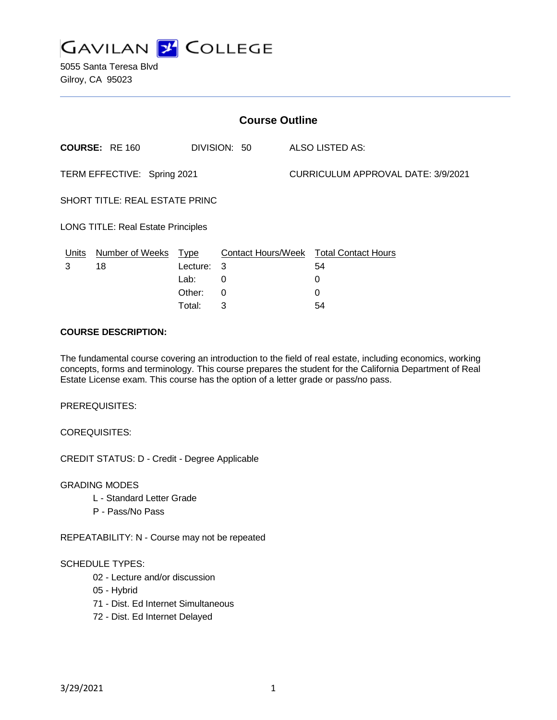

| <b>Course Outline</b>                     |                       |          |              |  |                                        |  |
|-------------------------------------------|-----------------------|----------|--------------|--|----------------------------------------|--|
|                                           | <b>COURSE: RE 160</b> |          | DIVISION: 50 |  | ALSO LISTED AS:                        |  |
| TERM EFFECTIVE: Spring 2021               |                       |          |              |  | CURRICULUM APPROVAL DATE: 3/9/2021     |  |
| SHORT TITLE: REAL ESTATE PRINC            |                       |          |              |  |                                        |  |
| <b>LONG TITLE: Real Estate Principles</b> |                       |          |              |  |                                        |  |
| <u>Units</u>                              | Number of Weeks Type  |          |              |  | Contact Hours/Week Total Contact Hours |  |
| 3                                         | 18                    | Lecture: | 3            |  | 54                                     |  |
|                                           |                       | Lab:     | 0            |  | 0                                      |  |
|                                           |                       | Other:   | 0            |  | 0                                      |  |
|                                           |                       | Total:   | 3            |  | 54                                     |  |

#### **COURSE DESCRIPTION:**

The fundamental course covering an introduction to the field of real estate, including economics, working concepts, forms and terminology. This course prepares the student for the California Department of Real Estate License exam. This course has the option of a letter grade or pass/no pass.

PREREQUISITES:

COREQUISITES:

CREDIT STATUS: D - Credit - Degree Applicable

GRADING MODES

- L Standard Letter Grade
- P Pass/No Pass

REPEATABILITY: N - Course may not be repeated

#### SCHEDULE TYPES:

- 02 Lecture and/or discussion
- 05 Hybrid
- 71 Dist. Ed Internet Simultaneous
- 72 Dist. Ed Internet Delayed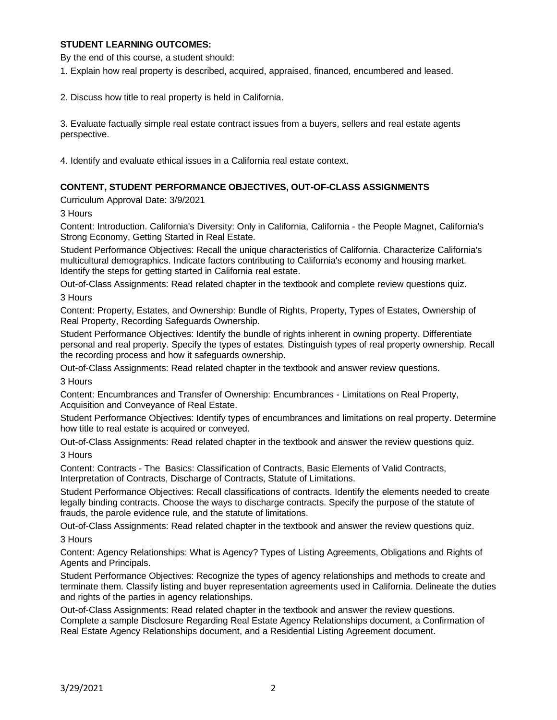## **STUDENT LEARNING OUTCOMES:**

By the end of this course, a student should:

1. Explain how real property is described, acquired, appraised, financed, encumbered and leased.

2. Discuss how title to real property is held in California.

3. Evaluate factually simple real estate contract issues from a buyers, sellers and real estate agents perspective.

4. Identify and evaluate ethical issues in a California real estate context.

## **CONTENT, STUDENT PERFORMANCE OBJECTIVES, OUT-OF-CLASS ASSIGNMENTS**

Curriculum Approval Date: 3/9/2021

3 Hours

Content: Introduction. California's Diversity: Only in California, California - the People Magnet, California's Strong Economy, Getting Started in Real Estate.

Student Performance Objectives: Recall the unique characteristics of California. Characterize California's multicultural demographics. Indicate factors contributing to California's economy and housing market. Identify the steps for getting started in California real estate.

Out-of-Class Assignments: Read related chapter in the textbook and complete review questions quiz. 3 Hours

Content: Property, Estates, and Ownership: Bundle of Rights, Property, Types of Estates, Ownership of Real Property, Recording Safeguards Ownership.

Student Performance Objectives: Identify the bundle of rights inherent in owning property. Differentiate personal and real property. Specify the types of estates. Distinguish types of real property ownership. Recall the recording process and how it safeguards ownership.

Out-of-Class Assignments: Read related chapter in the textbook and answer review questions.

3 Hours

Content: Encumbrances and Transfer of Ownership: Encumbrances - Limitations on Real Property, Acquisition and Conveyance of Real Estate.

Student Performance Objectives: Identify types of encumbrances and limitations on real property. Determine how title to real estate is acquired or conveyed.

Out-of-Class Assignments: Read related chapter in the textbook and answer the review questions quiz. 3 Hours

Content: Contracts - The Basics: Classification of Contracts, Basic Elements of Valid Contracts, Interpretation of Contracts, Discharge of Contracts, Statute of Limitations.

Student Performance Objectives: Recall classifications of contracts. Identify the elements needed to create legally binding contracts. Choose the ways to discharge contracts. Specify the purpose of the statute of frauds, the parole evidence rule, and the statute of limitations.

Out-of-Class Assignments: Read related chapter in the textbook and answer the review questions quiz.

3 Hours

Content: Agency Relationships: What is Agency? Types of Listing Agreements, Obligations and Rights of Agents and Principals.

Student Performance Objectives: Recognize the types of agency relationships and methods to create and terminate them. Classify listing and buyer representation agreements used in California. Delineate the duties and rights of the parties in agency relationships.

Out-of-Class Assignments: Read related chapter in the textbook and answer the review questions. Complete a sample Disclosure Regarding Real Estate Agency Relationships document, a Confirmation of Real Estate Agency Relationships document, and a Residential Listing Agreement document.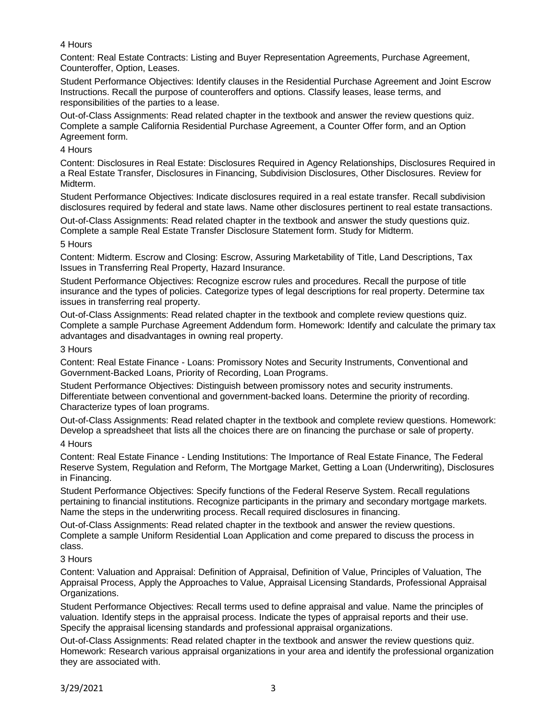## 4 Hours

Content: Real Estate Contracts: Listing and Buyer Representation Agreements, Purchase Agreement, Counteroffer, Option, Leases.

Student Performance Objectives: Identify clauses in the Residential Purchase Agreement and Joint Escrow Instructions. Recall the purpose of counteroffers and options. Classify leases, lease terms, and responsibilities of the parties to a lease.

Out-of-Class Assignments: Read related chapter in the textbook and answer the review questions quiz. Complete a sample California Residential Purchase Agreement, a Counter Offer form, and an Option Agreement form.

#### 4 Hours

Content: Disclosures in Real Estate: Disclosures Required in Agency Relationships, Disclosures Required in a Real Estate Transfer, Disclosures in Financing, Subdivision Disclosures, Other Disclosures. Review for Midterm.

Student Performance Objectives: Indicate disclosures required in a real estate transfer. Recall subdivision disclosures required by federal and state laws. Name other disclosures pertinent to real estate transactions.

Out-of-Class Assignments: Read related chapter in the textbook and answer the study questions quiz. Complete a sample Real Estate Transfer Disclosure Statement form. Study for Midterm.

#### 5 Hours

Content: Midterm. Escrow and Closing: Escrow, Assuring Marketability of Title, Land Descriptions, Tax Issues in Transferring Real Property, Hazard Insurance.

Student Performance Objectives: Recognize escrow rules and procedures. Recall the purpose of title insurance and the types of policies. Categorize types of legal descriptions for real property. Determine tax issues in transferring real property.

Out-of-Class Assignments: Read related chapter in the textbook and complete review questions quiz. Complete a sample Purchase Agreement Addendum form. Homework: Identify and calculate the primary tax advantages and disadvantages in owning real property.

#### 3 Hours

Content: Real Estate Finance - Loans: Promissory Notes and Security Instruments, Conventional and Government-Backed Loans, Priority of Recording, Loan Programs.

Student Performance Objectives: Distinguish between promissory notes and security instruments. Differentiate between conventional and government-backed loans. Determine the priority of recording. Characterize types of loan programs.

Out-of-Class Assignments: Read related chapter in the textbook and complete review questions. Homework: Develop a spreadsheet that lists all the choices there are on financing the purchase or sale of property.

## 4 Hours

Content: Real Estate Finance - Lending Institutions: The Importance of Real Estate Finance, The Federal Reserve System, Regulation and Reform, The Mortgage Market, Getting a Loan (Underwriting), Disclosures in Financing.

Student Performance Objectives: Specify functions of the Federal Reserve System. Recall regulations pertaining to financial institutions. Recognize participants in the primary and secondary mortgage markets. Name the steps in the underwriting process. Recall required disclosures in financing.

Out-of-Class Assignments: Read related chapter in the textbook and answer the review questions. Complete a sample Uniform Residential Loan Application and come prepared to discuss the process in class.

## 3 Hours

Content: Valuation and Appraisal: Definition of Appraisal, Definition of Value, Principles of Valuation, The Appraisal Process, Apply the Approaches to Value, Appraisal Licensing Standards, Professional Appraisal Organizations.

Student Performance Objectives: Recall terms used to define appraisal and value. Name the principles of valuation. Identify steps in the appraisal process. Indicate the types of appraisal reports and their use. Specify the appraisal licensing standards and professional appraisal organizations.

Out-of-Class Assignments: Read related chapter in the textbook and answer the review questions quiz. Homework: Research various appraisal organizations in your area and identify the professional organization they are associated with.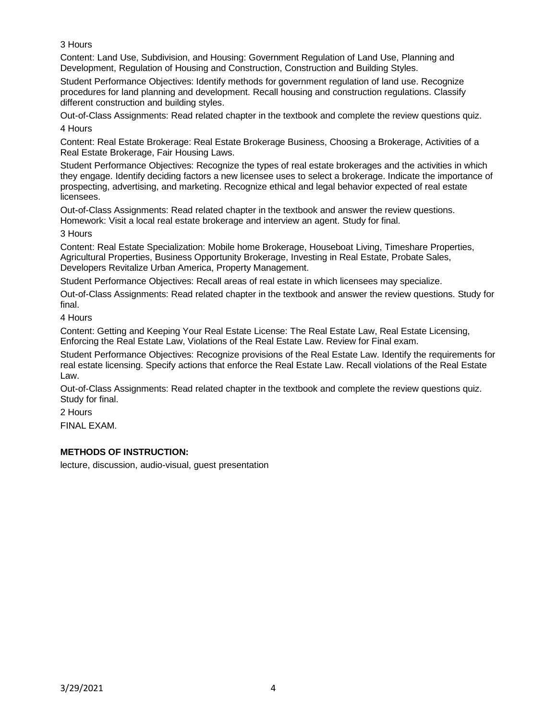3 Hours

Content: Land Use, Subdivision, and Housing: Government Regulation of Land Use, Planning and Development, Regulation of Housing and Construction, Construction and Building Styles.

Student Performance Objectives: Identify methods for government regulation of land use. Recognize procedures for land planning and development. Recall housing and construction regulations. Classify different construction and building styles.

Out-of-Class Assignments: Read related chapter in the textbook and complete the review questions quiz. 4 Hours

Content: Real Estate Brokerage: Real Estate Brokerage Business, Choosing a Brokerage, Activities of a Real Estate Brokerage, Fair Housing Laws.

Student Performance Objectives: Recognize the types of real estate brokerages and the activities in which they engage. Identify deciding factors a new licensee uses to select a brokerage. Indicate the importance of prospecting, advertising, and marketing. Recognize ethical and legal behavior expected of real estate licensees.

Out-of-Class Assignments: Read related chapter in the textbook and answer the review questions. Homework: Visit a local real estate brokerage and interview an agent. Study for final.

3 Hours

Content: Real Estate Specialization: Mobile home Brokerage, Houseboat Living, Timeshare Properties, Agricultural Properties, Business Opportunity Brokerage, Investing in Real Estate, Probate Sales, Developers Revitalize Urban America, Property Management.

Student Performance Objectives: Recall areas of real estate in which licensees may specialize.

Out-of-Class Assignments: Read related chapter in the textbook and answer the review questions. Study for final.

4 Hours

Content: Getting and Keeping Your Real Estate License: The Real Estate Law, Real Estate Licensing, Enforcing the Real Estate Law, Violations of the Real Estate Law. Review for Final exam.

Student Performance Objectives: Recognize provisions of the Real Estate Law. Identify the requirements for real estate licensing. Specify actions that enforce the Real Estate Law. Recall violations of the Real Estate Law.

Out-of-Class Assignments: Read related chapter in the textbook and complete the review questions quiz. Study for final.

2 Hours

FINAL EXAM.

# **METHODS OF INSTRUCTION:**

lecture, discussion, audio-visual, guest presentation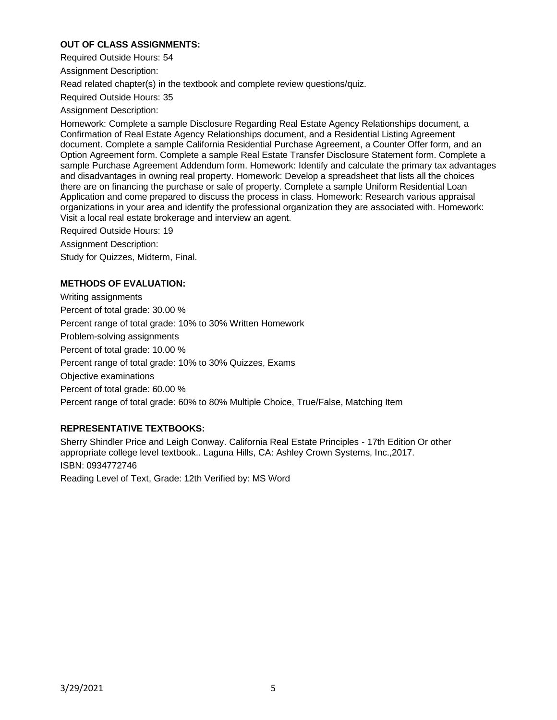## **OUT OF CLASS ASSIGNMENTS:**

Required Outside Hours: 54

Assignment Description:

Read related chapter(s) in the textbook and complete review questions/quiz.

Required Outside Hours: 35

Assignment Description:

Homework: Complete a sample Disclosure Regarding Real Estate Agency Relationships document, a Confirmation of Real Estate Agency Relationships document, and a Residential Listing Agreement document. Complete a sample California Residential Purchase Agreement, a Counter Offer form, and an Option Agreement form. Complete a sample Real Estate Transfer Disclosure Statement form. Complete a sample Purchase Agreement Addendum form. Homework: Identify and calculate the primary tax advantages and disadvantages in owning real property. Homework: Develop a spreadsheet that lists all the choices there are on financing the purchase or sale of property. Complete a sample Uniform Residential Loan Application and come prepared to discuss the process in class. Homework: Research various appraisal organizations in your area and identify the professional organization they are associated with. Homework: Visit a local real estate brokerage and interview an agent.

Required Outside Hours: 19

Assignment Description:

Study for Quizzes, Midterm, Final.

## **METHODS OF EVALUATION:**

Writing assignments Percent of total grade: 30.00 % Percent range of total grade: 10% to 30% Written Homework Problem-solving assignments Percent of total grade: 10.00 % Percent range of total grade: 10% to 30% Quizzes, Exams Objective examinations Percent of total grade: 60.00 % Percent range of total grade: 60% to 80% Multiple Choice, True/False, Matching Item

# **REPRESENTATIVE TEXTBOOKS:**

Sherry Shindler Price and Leigh Conway. California Real Estate Principles - 17th Edition Or other appropriate college level textbook.. Laguna Hills, CA: Ashley Crown Systems, Inc.,2017. ISBN: 0934772746 Reading Level of Text, Grade: 12th Verified by: MS Word